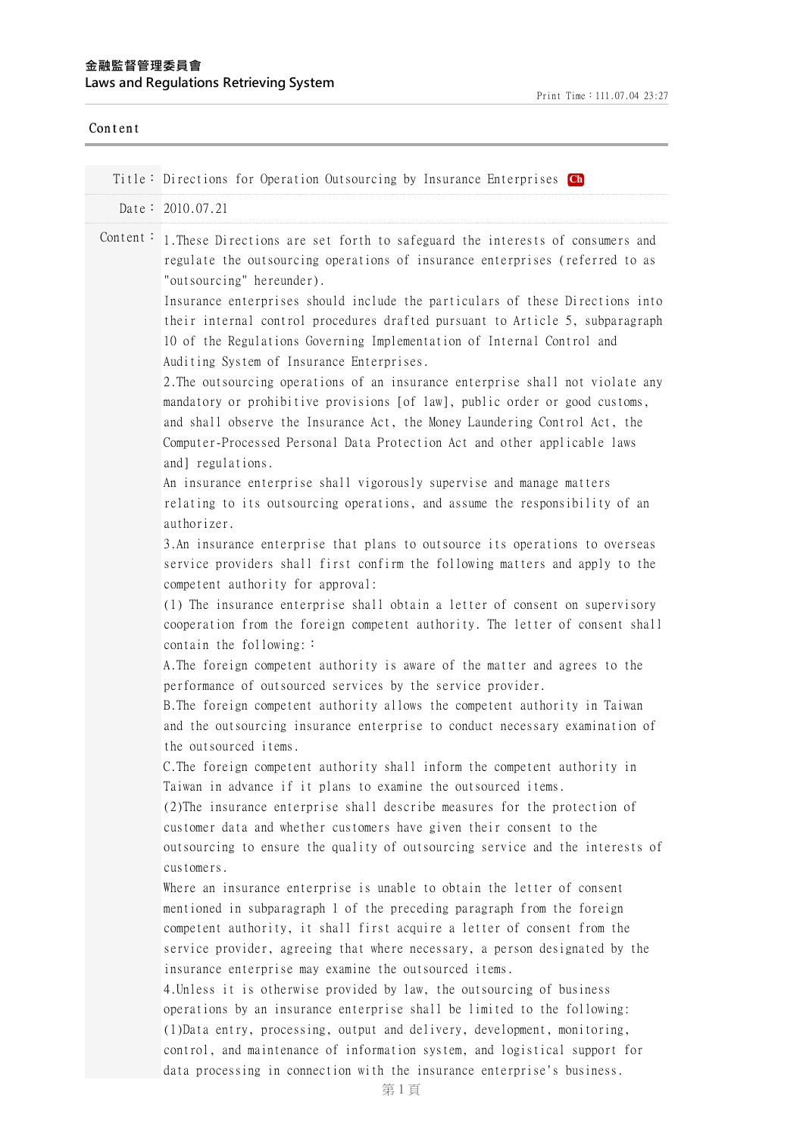## **⾦融監督管理委員會 Laws and Regulations Retrieving System**

| Content  |                                                                                                                                                                                                                                                                                                                                                                                                                                                                                                                                                                                                                                                                                                                                                                                                                                                                                                                                                                                                                                                                                                                                                                                                                                                                                                                                                                                                                                                                                                      |
|----------|------------------------------------------------------------------------------------------------------------------------------------------------------------------------------------------------------------------------------------------------------------------------------------------------------------------------------------------------------------------------------------------------------------------------------------------------------------------------------------------------------------------------------------------------------------------------------------------------------------------------------------------------------------------------------------------------------------------------------------------------------------------------------------------------------------------------------------------------------------------------------------------------------------------------------------------------------------------------------------------------------------------------------------------------------------------------------------------------------------------------------------------------------------------------------------------------------------------------------------------------------------------------------------------------------------------------------------------------------------------------------------------------------------------------------------------------------------------------------------------------------|
|          | Title: Directions for Operation Outsourcing by Insurance Enterprises Ch                                                                                                                                                                                                                                                                                                                                                                                                                                                                                                                                                                                                                                                                                                                                                                                                                                                                                                                                                                                                                                                                                                                                                                                                                                                                                                                                                                                                                              |
|          | Date: 2010.07.21                                                                                                                                                                                                                                                                                                                                                                                                                                                                                                                                                                                                                                                                                                                                                                                                                                                                                                                                                                                                                                                                                                                                                                                                                                                                                                                                                                                                                                                                                     |
| Content: | 1. These Directions are set forth to safeguard the interests of consumers and<br>regulate the outsourcing operations of insurance enterprises (referred to as<br>"outsourcing" hereunder).<br>Insurance enterprises should include the particulars of these Directions into<br>their internal control procedures drafted pursuant to Article 5, subparagraph<br>10 of the Regulations Governing Implementation of Internal Control and<br>Auditing System of Insurance Enterprises.<br>2. The outsourcing operations of an insurance enterprise shall not violate any<br>mandatory or prohibitive provisions [of law], public order or good customs,<br>and shall observe the Insurance Act, the Money Laundering Control Act, the<br>Computer-Processed Personal Data Protection Act and other applicable laws<br>and] regulations.<br>An insurance enterprise shall vigorously supervise and manage matters<br>relating to its outsourcing operations, and assume the responsibility of an<br>authorizer.<br>3. An insurance enterprise that plans to outsource its operations to overseas<br>service providers shall first confirm the following matters and apply to the<br>competent authority for approval:<br>(1) The insurance enterprise shall obtain a letter of consent on supervisory<br>cooperation from the foreign competent authority. The letter of consent shall<br>contain the following: $\colon$<br>A. The foreign competent authority is aware of the matter and agrees to the |
|          | performance of outsourced services by the service provider.<br>B. The foreign competent authority allows the competent authority in Taiwan<br>and the outsourcing insurance enterprise to conduct necessary examination of<br>the outsourced items.<br>C. The foreign competent authority shall inform the competent authority in<br>Taiwan in advance if it plans to examine the outsourced items.<br>(2) The insurance enterprise shall describe measures for the protection of<br>customer data and whether customers have given their consent to the<br>outsourcing to ensure the quality of outsourcing service and the interests of<br>customers.<br>Where an insurance enterprise is unable to obtain the letter of consent<br>mentioned in subparagraph 1 of the preceding paragraph from the foreign<br>competent authority, it shall first acquire a letter of consent from the<br>service provider, agreeing that where necessary, a person designated by the<br>insurance enterprise may examine the outsourced items.<br>4. Unless it is otherwise provided by law, the outsourcing of business<br>operations by an insurance enterprise shall be limited to the following:<br>(1) Data entry, processing, output and delivery, development, monitoring,<br>control, and maintenance of information system, and logistical support for<br>data processing in connection with the insurance enterprise's business.                                                                       |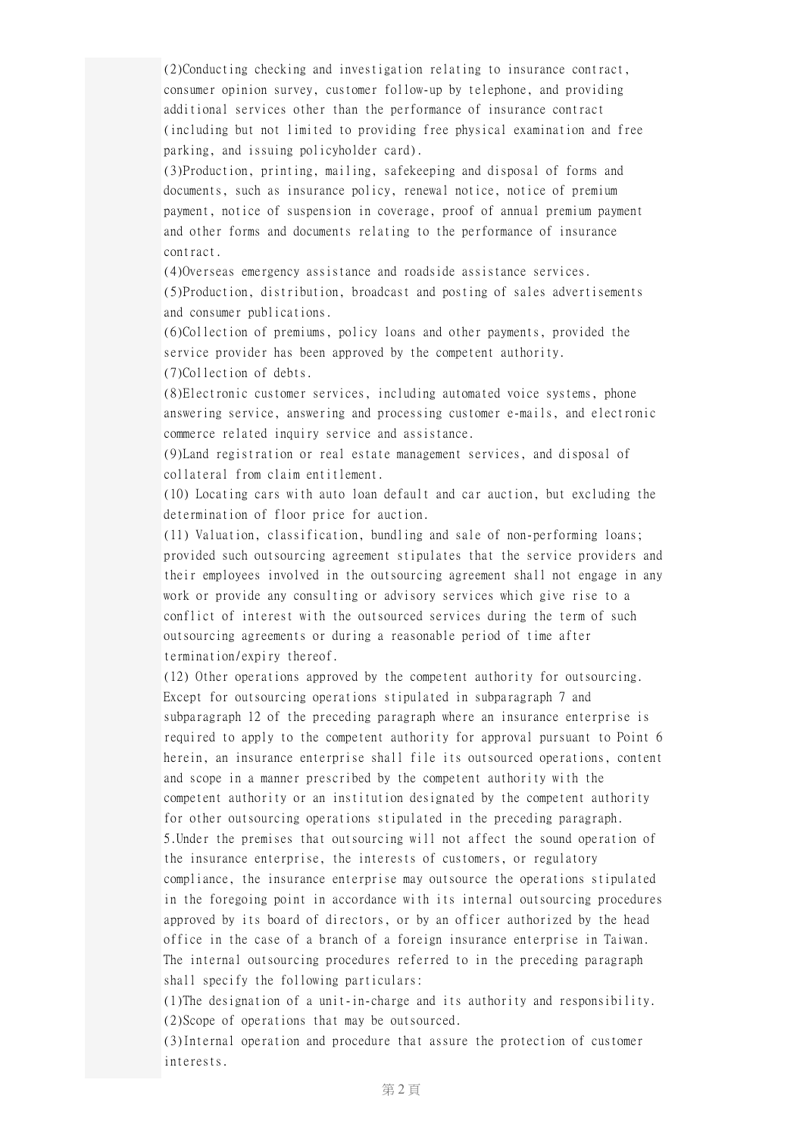(2)Conducting checking and investigation relating to insurance contract, consumer opinion survey, customer follow-up by telephone, and providing additional services other than the performance of insurance contract (including but not limited to providing free physical examination and free parking, and issuing policyholder card).

(3)Production, printing, mailing, safekeeping and disposal of forms and documents, such as insurance policy, renewal notice, notice of premium payment, notice of suspension in coverage, proof of annual premium payment and other forms and documents relating to the performance of insurance contract.

(4)Overseas emergency assistance and roadside assistance services. (5)Production, distribution, broadcast and posting of sales advertisements and consumer publications.

(6)Collection of premiums, policy loans and other payments, provided the service provider has been approved by the competent authority. (7)Collection of debts.

(8)Electronic customer services, including automated voice systems, phone answering service, answering and processing customer e-mails, and electronic commerce related inquiry service and assistance.

(9)Land registration or real estate management services, and disposal of collateral from claim entitlement.

(10) Locating cars with auto loan default and car auction, but excluding the determination of floor price for auction.

(11) Valuation, classification, bundling and sale of non-performing loans; provided such outsourcing agreement stipulates that the service providers and their employees involved in the outsourcing agreement shall not engage in any work or provide any consulting or advisory services which give rise to a conflict of interest with the outsourced services during the term of such outsourcing agreements or during a reasonable period of time after termination/expiry thereof.

(12) Other operations approved by the competent authority for outsourcing. Except for outsourcing operations stipulated in subparagraph 7 and subparagraph 12 of the preceding paragraph where an insurance enterprise is required to apply to the competent authority for approval pursuant to Point 6 herein, an insurance enterprise shall file its outsourced operations, content and scope in a manner prescribed by the competent authority with the competent authority or an institution designated by the competent authority for other outsourcing operations stipulated in the preceding paragraph. 5.Under the premises that outsourcing will not affect the sound operation of the insurance enterprise, the interests of customers, or regulatory compliance, the insurance enterprise may outsource the operations stipulated in the foregoing point in accordance with its internal outsourcing procedures approved by its board of directors, or by an officer authorized by the head office in the case of a branch of a foreign insurance enterprise in Taiwan. The internal outsourcing procedures referred to in the preceding paragraph shall specify the following particulars:

(1)The designation of a unit-in-charge and its authority and responsibility. (2)Scope of operations that may be outsourced.

(3)Internal operation and procedure that assure the protection of customer interests.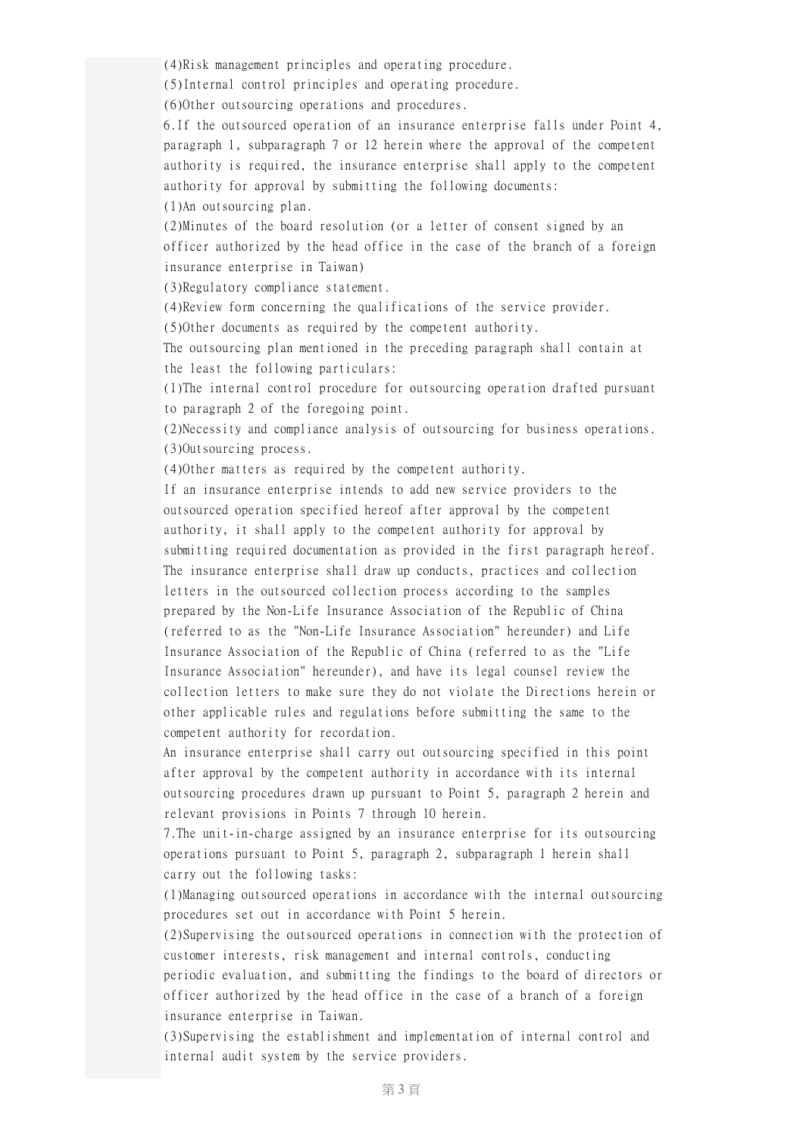(4)Risk management principles and operating procedure.

(5)Internal control principles and operating procedure.

(6)Other outsourcing operations and procedures.

6.If the outsourced operation of an insurance enterprise falls under Point 4, paragraph 1, subparagraph 7 or 12 herein where the approval of the competent authority is required, the insurance enterprise shall apply to the competent authority for approval by submitting the following documents:

(1)An outsourcing plan.

(2)Minutes of the board resolution (or a letter of consent signed by an officer authorized by the head office in the case of the branch of a foreign insurance enterprise in Taiwan)

(3)Regulatory compliance statement.

(4)Review form concerning the qualifications of the service provider.

(5)Other documents as required by the competent authority.

The outsourcing plan mentioned in the preceding paragraph shall contain at the least the following particulars:

(1)The internal control procedure for outsourcing operation drafted pursuant to paragraph 2 of the foregoing point.

(2)Necessity and compliance analysis of outsourcing for business operations. (3)Outsourcing process.

(4)Other matters as required by the competent authority.

If an insurance enterprise intends to add new service providers to the outsourced operation specified hereof after approval by the competent authority, it shall apply to the competent authority for approval by submitting required documentation as provided in the first paragraph hereof. The insurance enterprise shall draw up conducts, practices and collection letters in the outsourced collection process according to the samples prepared by the Non-Life Insurance Association of the Republic of China (referred to as the "Non-Life Insurance Association" hereunder) and Life Insurance Association of the Republic of China (referred to as the "Life Insurance Association" hereunder), and have its legal counsel review the collection letters to make sure they do not violate the Directions herein or other applicable rules and regulations before submitting the same to the competent authority for recordation.

An insurance enterprise shall carry out outsourcing specified in this point after approval by the competent authority in accordance with its internal outsourcing procedures drawn up pursuant to Point 5, paragraph 2 herein and relevant provisions in Points 7 through 10 herein.

7.The unit-in-charge assigned by an insurance enterprise for its outsourcing operations pursuant to Point 5, paragraph 2, subparagraph 1 herein shall carry out the following tasks:

(1)Managing outsourced operations in accordance with the internal outsourcing procedures set out in accordance with Point 5 herein.

(2)Supervising the outsourced operations in connection with the protection of customer interests, risk management and internal controls, conducting periodic evaluation, and submitting the findings to the board of directors or officer authorized by the head office in the case of a branch of a foreign insurance enterprise in Taiwan.

(3)Supervising the establishment and implementation of internal control and internal audit system by the service providers.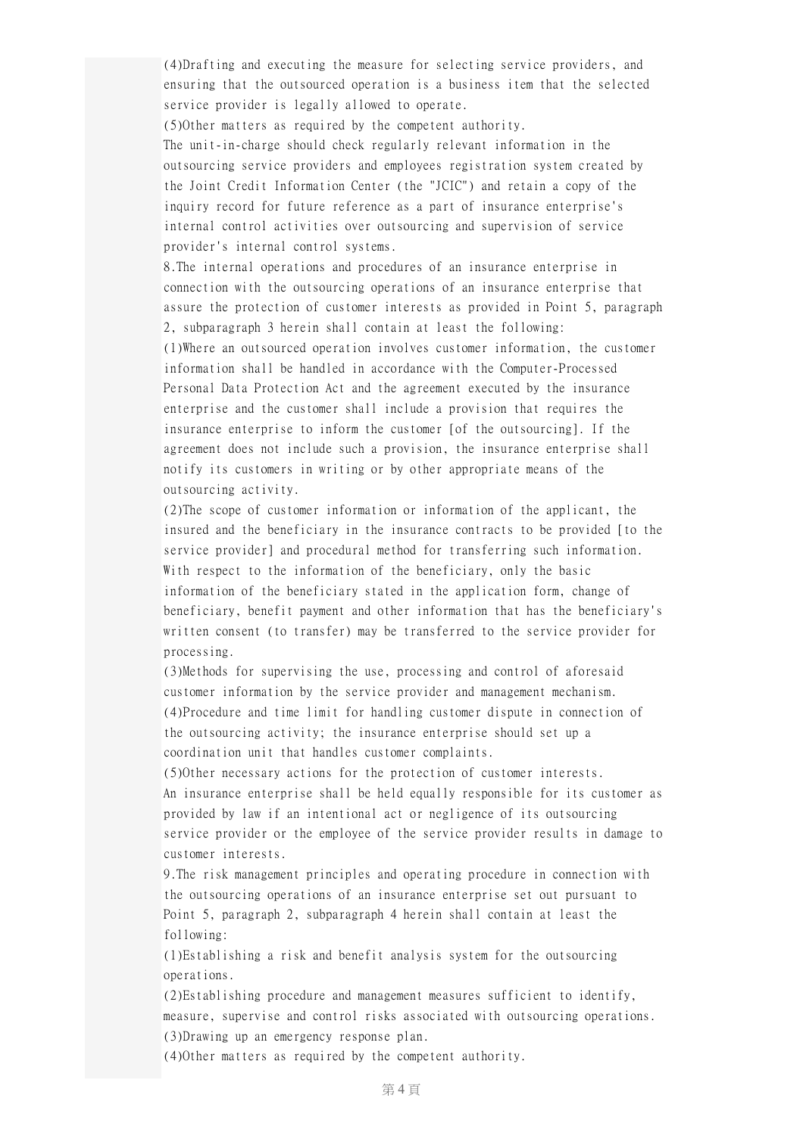(4)Drafting and executing the measure for selecting service providers, and ensuring that the outsourced operation is a business item that the selected service provider is legally allowed to operate.

(5)Other matters as required by the competent authority.

The unit-in-charge should check regularly relevant information in the outsourcing service providers and employees registration system created by the Joint Credit Information Center (the "JCIC") and retain a copy of the inquiry record for future reference as a part of insurance enterprise's internal control activities over outsourcing and supervision of service provider's internal control systems.

8.The internal operations and procedures of an insurance enterprise in connection with the outsourcing operations of an insurance enterprise that assure the protection of customer interests as provided in Point 5, paragraph 2, subparagraph 3 herein shall contain at least the following:

(1)Where an outsourced operation involves customer information, the customer information shall be handled in accordance with the Computer-Processed Personal Data Protection Act and the agreement executed by the insurance enterprise and the customer shall include a provision that requires the insurance enterprise to inform the customer [of the outsourcing]. If the agreement does not include such a provision, the insurance enterprise shall notify its customers in writing or by other appropriate means of the outsourcing activity.

(2)The scope of customer information or information of the applicant, the insured and the beneficiary in the insurance contracts to be provided [to the service provider] and procedural method for transferring such information. With respect to the information of the beneficiary, only the basic information of the beneficiary stated in the application form, change of beneficiary, benefit payment and other information that has the beneficiary's written consent (to transfer) may be transferred to the service provider for processing.

(3)Methods for supervising the use, processing and control of aforesaid customer information by the service provider and management mechanism. (4)Procedure and time limit for handling customer dispute in connection of the outsourcing activity; the insurance enterprise should set up a coordination unit that handles customer complaints.

(5)Other necessary actions for the protection of customer interests. An insurance enterprise shall be held equally responsible for its customer as provided by law if an intentional act or negligence of its outsourcing service provider or the employee of the service provider results in damage to customer interests.

9.The risk management principles and operating procedure in connection with the outsourcing operations of an insurance enterprise set out pursuant to Point 5, paragraph 2, subparagraph 4 herein shall contain at least the following:

(1)Establishing a risk and benefit analysis system for the outsourcing operations.

(2)Establishing procedure and management measures sufficient to identify, measure, supervise and control risks associated with outsourcing operations. (3)Drawing up an emergency response plan.

(4)Other matters as required by the competent authority.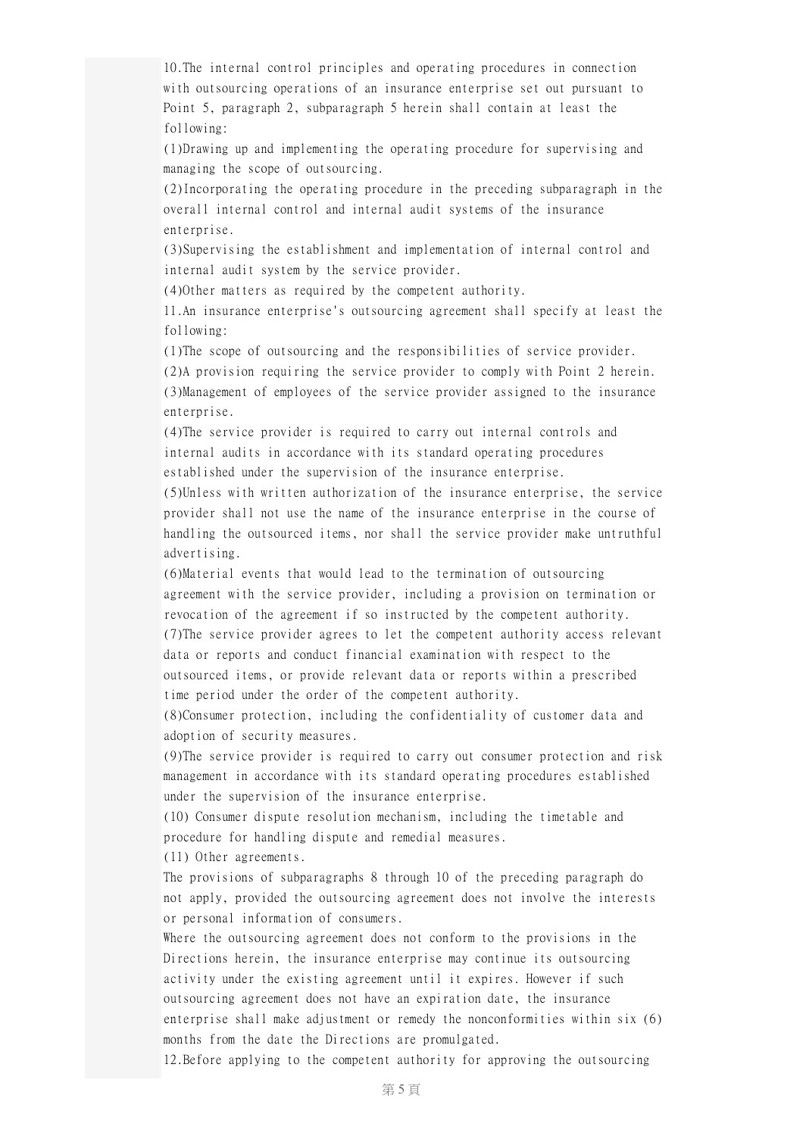10.The internal control principles and operating procedures in connection with outsourcing operations of an insurance enterprise set out pursuant to Point 5, paragraph 2, subparagraph 5 herein shall contain at least the following:

(1)Drawing up and implementing the operating procedure for supervising and managing the scope of outsourcing.

(2)Incorporating the operating procedure in the preceding subparagraph in the overall internal control and internal audit systems of the insurance enterprise.

(3)Supervising the establishment and implementation of internal control and internal audit system by the service provider.

(4)Other matters as required by the competent authority.

11.An insurance enterprise's outsourcing agreement shall specify at least the following:

(1)The scope of outsourcing and the responsibilities of service provider. (2)A provision requiring the service provider to comply with Point 2 herein. (3)Management of employees of the service provider assigned to the insurance enterprise.

(4)The service provider is required to carry out internal controls and internal audits in accordance with its standard operating procedures established under the supervision of the insurance enterprise.

(5)Unless with written authorization of the insurance enterprise, the service provider shall not use the name of the insurance enterprise in the course of handling the outsourced items, nor shall the service provider make untruthful advertising.

(6)Material events that would lead to the termination of outsourcing agreement with the service provider, including a provision on termination or revocation of the agreement if so instructed by the competent authority. (7)The service provider agrees to let the competent authority access relevant data or reports and conduct financial examination with respect to the outsourced items, or provide relevant data or reports within a prescribed time period under the order of the competent authority.

(8)Consumer protection, including the confidentiality of customer data and adoption of security measures.

(9)The service provider is required to carry out consumer protection and risk management in accordance with its standard operating procedures established under the supervision of the insurance enterprise.

(10) Consumer dispute resolution mechanism, including the timetable and procedure for handling dispute and remedial measures.

(11) Other agreements.

The provisions of subparagraphs 8 through 10 of the preceding paragraph do not apply, provided the outsourcing agreement does not involve the interests or personal information of consumers.

Where the outsourcing agreement does not conform to the provisions in the Directions herein, the insurance enterprise may continue its outsourcing activity under the existing agreement until it expires. However if such outsourcing agreement does not have an expiration date, the insurance enterprise shall make adjustment or remedy the nonconformities within six (6) months from the date the Directions are promulgated.

12.Before applying to the competent authority for approving the outsourcing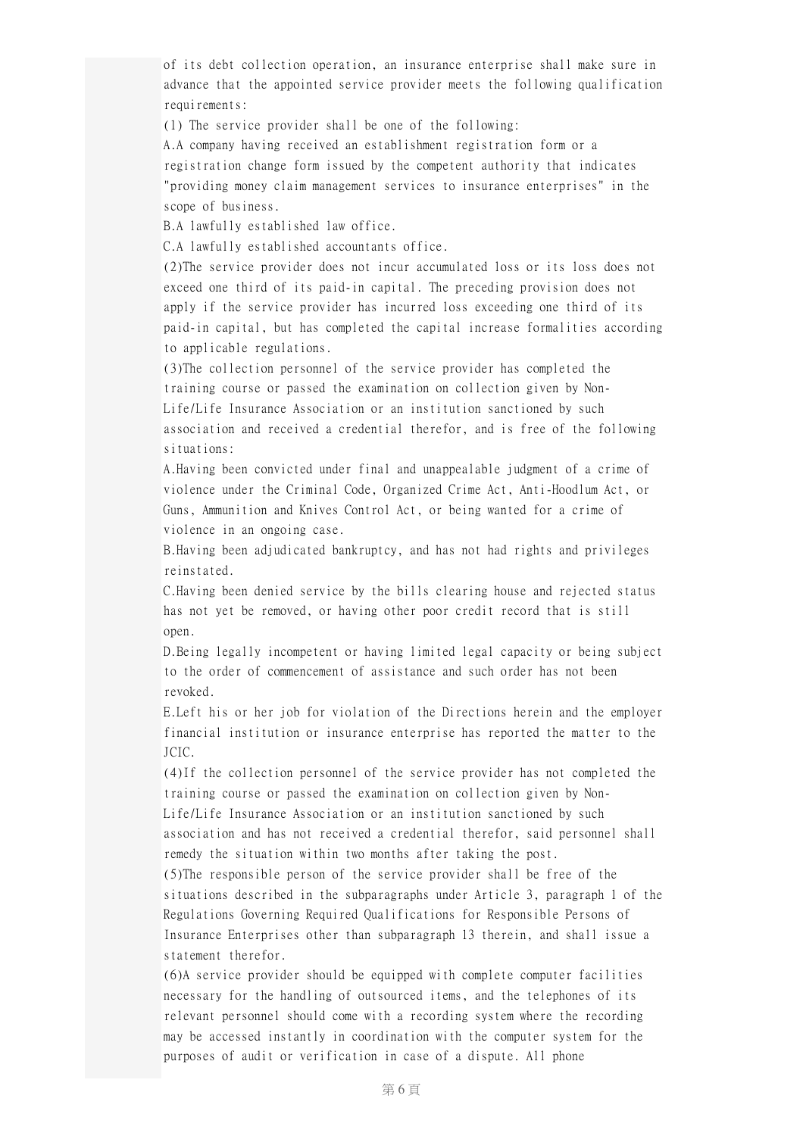of its debt collection operation, an insurance enterprise shall make sure in advance that the appointed service provider meets the following qualification requirements:

(1) The service provider shall be one of the following:

A.A company having received an establishment registration form or a registration change form issued by the competent authority that indicates "providing money claim management services to insurance enterprises" in the scope of business.

B.A lawfully established law office.

C.A lawfully established accountants office.

(2)The service provider does not incur accumulated loss or its loss does not exceed one third of its paid-in capital. The preceding provision does not apply if the service provider has incurred loss exceeding one third of its paid-in capital, but has completed the capital increase formalities according to applicable regulations.

(3)The collection personnel of the service provider has completed the training course or passed the examination on collection given by Non-Life/Life Insurance Association or an institution sanctioned by such association and received a credential therefor, and is free of the following situations:

A.Having been convicted under final and unappealable judgment of a crime of violence under the Criminal Code, Organized Crime Act, Anti-Hoodlum Act, or Guns, Ammunition and Knives Control Act, or being wanted for a crime of violence in an ongoing case.

B.Having been adjudicated bankruptcy, and has not had rights and privileges reinstated.

C.Having been denied service by the bills clearing house and rejected status has not yet be removed, or having other poor credit record that is still open.

D.Being legally incompetent or having limited legal capacity or being subject to the order of commencement of assistance and such order has not been revoked.

E.Left his or her job for violation of the Directions herein and the employer financial institution or insurance enterprise has reported the matter to the JCIC.

(4)If the collection personnel of the service provider has not completed the training course or passed the examination on collection given by Non-Life/Life Insurance Association or an institution sanctioned by such association and has not received a credential therefor, said personnel shall remedy the situation within two months after taking the post.

(5)The responsible person of the service provider shall be free of the situations described in the subparagraphs under Article 3, paragraph 1 of the Regulations Governing Required Qualifications for Responsible Persons of Insurance Enterprises other than subparagraph 13 therein, and shall issue a statement therefor.

(6)A service provider should be equipped with complete computer facilities necessary for the handling of outsourced items, and the telephones of its relevant personnel should come with a recording system where the recording may be accessed instantly in coordination with the computer system for the purposes of audit or verification in case of a dispute. All phone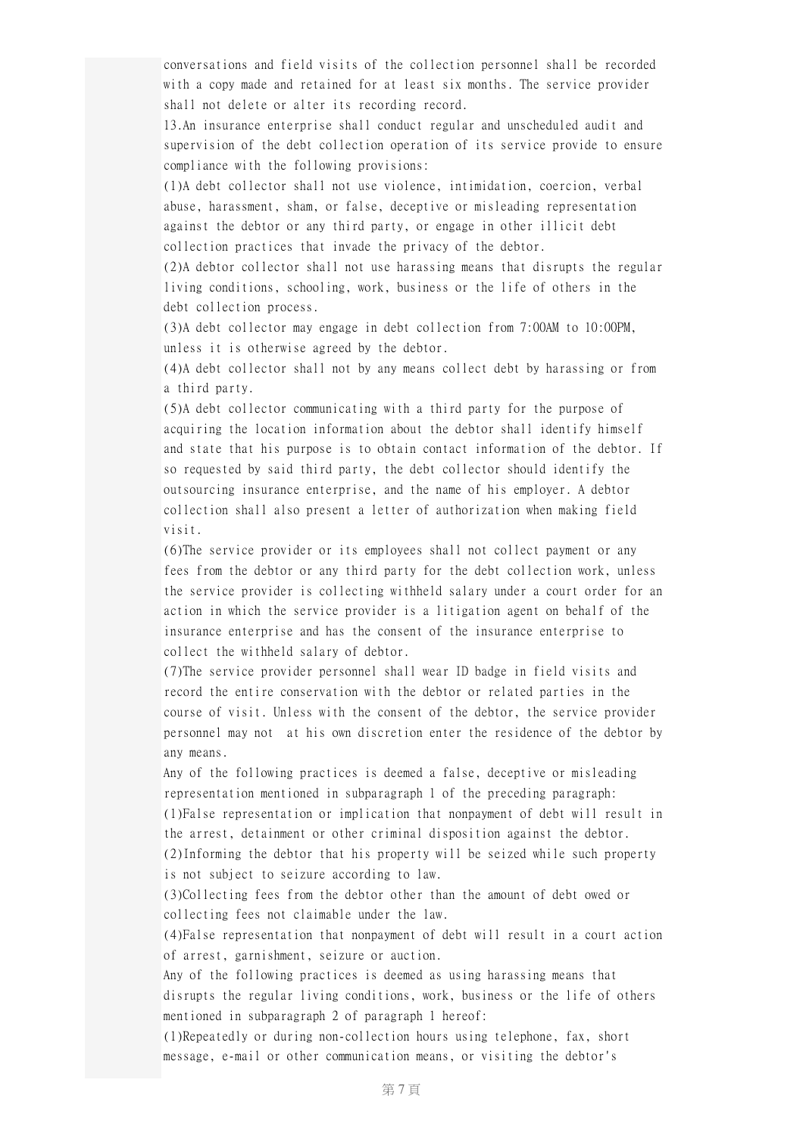conversations and field visits of the collection personnel shall be recorded with a copy made and retained for at least six months. The service provider shall not delete or alter its recording record.

13.An insurance enterprise shall conduct regular and unscheduled audit and supervision of the debt collection operation of its service provide to ensure compliance with the following provisions:

(1)A debt collector shall not use violence, intimidation, coercion, verbal abuse, harassment, sham, or false, deceptive or misleading representation against the debtor or any third party, or engage in other illicit debt collection practices that invade the privacy of the debtor.

(2)A debtor collector shall not use harassing means that disrupts the regular living conditions, schooling, work, business or the life of others in the debt collection process.

(3)A debt collector may engage in debt collection from 7:00AM to 10:00PM, unless it is otherwise agreed by the debtor.

(4)A debt collector shall not by any means collect debt by harassing or from a third party.

(5)A debt collector communicating with a third party for the purpose of acquiring the location information about the debtor shall identify himself and state that his purpose is to obtain contact information of the debtor. If so requested by said third party, the debt collector should identify the outsourcing insurance enterprise, and the name of his employer. A debtor collection shall also present a letter of authorization when making field visit.

(6)The service provider or its employees shall not collect payment or any fees from the debtor or any third party for the debt collection work, unless the service provider is collecting withheld salary under a court order for an action in which the service provider is a litigation agent on behalf of the insurance enterprise and has the consent of the insurance enterprise to collect the withheld salary of debtor.

(7)The service provider personnel shall wear ID badge in field visits and record the entire conservation with the debtor or related parties in the course of visit. Unless with the consent of the debtor, the service provider personnel may not at his own discretion enter the residence of the debtor by any means.

Any of the following practices is deemed a false, deceptive or misleading representation mentioned in subparagraph 1 of the preceding paragraph: (1)False representation or implication that nonpayment of debt will result in the arrest, detainment or other criminal disposition against the debtor. (2)Informing the debtor that his property will be seized while such property is not subject to seizure according to law.

(3)Collecting fees from the debtor other than the amount of debt owed or collecting fees not claimable under the law.

(4)False representation that nonpayment of debt will result in a court action of arrest, garnishment, seizure or auction.

Any of the following practices is deemed as using harassing means that disrupts the regular living conditions, work, business or the life of others mentioned in subparagraph 2 of paragraph 1 hereof:

(1)Repeatedly or during non-collection hours using telephone, fax, short message, e-mail or other communication means, or visiting the debtor's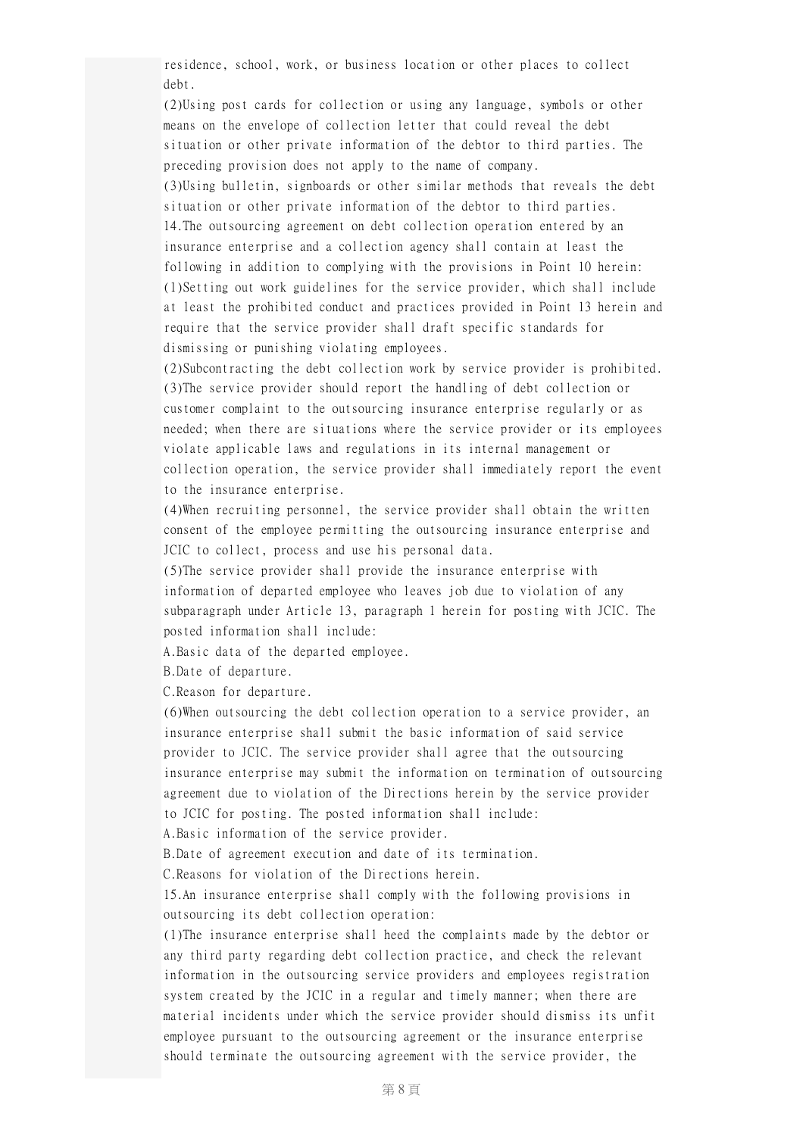residence, school, work, or business location or other places to collect debt.

(2)Using post cards for collection or using any language, symbols or other means on the envelope of collection letter that could reveal the debt situation or other private information of the debtor to third parties. The preceding provision does not apply to the name of company. (3)Using bulletin, signboards or other similar methods that reveals the debt situation or other private information of the debtor to third parties. 14.The outsourcing agreement on debt collection operation entered by an insurance enterprise and a collection agency shall contain at least the following in addition to complying with the provisions in Point 10 herein: (1)Setting out work guidelines for the service provider, which shall include at least the prohibited conduct and practices provided in Point 13 herein and require that the service provider shall draft specific standards for dismissing or punishing violating employees.

(2)Subcontracting the debt collection work by service provider is prohibited. (3)The service provider should report the handling of debt collection or customer complaint to the outsourcing insurance enterprise regularly or as needed; when there are situations where the service provider or its employees violate applicable laws and regulations in its internal management or collection operation, the service provider shall immediately report the event to the insurance enterprise.

(4)When recruiting personnel, the service provider shall obtain the written consent of the employee permitting the outsourcing insurance enterprise and JCIC to collect, process and use his personal data.

(5)The service provider shall provide the insurance enterprise with information of departed employee who leaves job due to violation of any subparagraph under Article 13, paragraph 1 herein for posting with JCIC. The posted information shall include:

A.Basic data of the departed employee.

B.Date of departure.

C.Reason for departure.

(6)When outsourcing the debt collection operation to a service provider, an insurance enterprise shall submit the basic information of said service provider to JCIC. The service provider shall agree that the outsourcing insurance enterprise may submit the information on termination of outsourcing agreement due to violation of the Directions herein by the service provider to JCIC for posting. The posted information shall include:

A.Basic information of the service provider.

B.Date of agreement execution and date of its termination.

C.Reasons for violation of the Directions herein.

15.An insurance enterprise shall comply with the following provisions in outsourcing its debt collection operation:

(1)The insurance enterprise shall heed the complaints made by the debtor or any third party regarding debt collection practice, and check the relevant information in the outsourcing service providers and employees registration system created by the JCIC in a regular and timely manner; when there are material incidents under which the service provider should dismiss its unfit employee pursuant to the outsourcing agreement or the insurance enterprise should terminate the outsourcing agreement with the service provider, the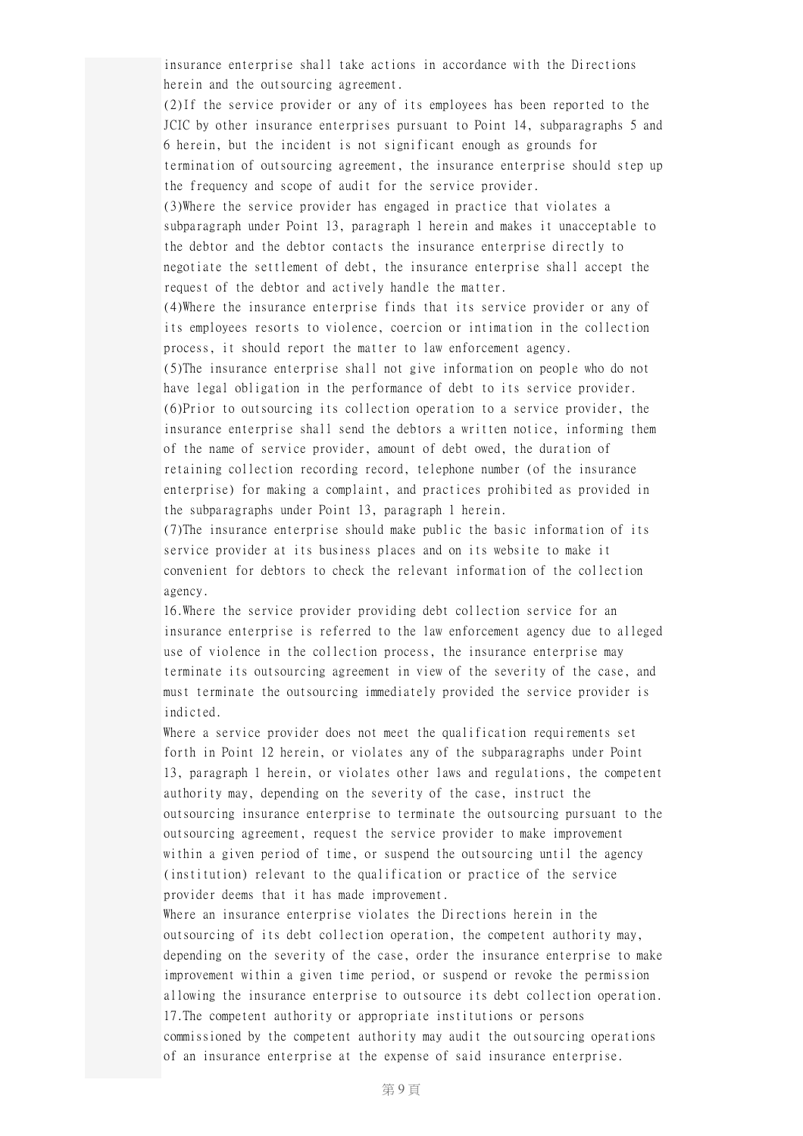insurance enterprise shall take actions in accordance with the Directions herein and the outsourcing agreement.

(2)If the service provider or any of its employees has been reported to the JCIC by other insurance enterprises pursuant to Point 14, subparagraphs 5 and 6 herein, but the incident is not significant enough as grounds for termination of outsourcing agreement, the insurance enterprise should step up the frequency and scope of audit for the service provider.

(3)Where the service provider has engaged in practice that violates a subparagraph under Point 13, paragraph 1 herein and makes it unacceptable to the debtor and the debtor contacts the insurance enterprise directly to negotiate the settlement of debt, the insurance enterprise shall accept the request of the debtor and actively handle the matter.

(4)Where the insurance enterprise finds that its service provider or any of its employees resorts to violence, coercion or intimation in the collection process, it should report the matter to law enforcement agency.

(5)The insurance enterprise shall not give information on people who do not have legal obligation in the performance of debt to its service provider. (6)Prior to outsourcing its collection operation to a service provider, the insurance enterprise shall send the debtors a written notice, informing them of the name of service provider, amount of debt owed, the duration of retaining collection recording record, telephone number (of the insurance enterprise) for making a complaint, and practices prohibited as provided in the subparagraphs under Point 13, paragraph 1 herein.

(7)The insurance enterprise should make public the basic information of its service provider at its business places and on its website to make it convenient for debtors to check the relevant information of the collection agency.

16.Where the service provider providing debt collection service for an insurance enterprise is referred to the law enforcement agency due to alleged use of violence in the collection process, the insurance enterprise may terminate its outsourcing agreement in view of the severity of the case, and must terminate the outsourcing immediately provided the service provider is indicted.

Where a service provider does not meet the qualification requirements set forth in Point 12 herein, or violates any of the subparagraphs under Point 13, paragraph 1 herein, or violates other laws and regulations, the competent authority may, depending on the severity of the case, instruct the outsourcing insurance enterprise to terminate the outsourcing pursuant to the outsourcing agreement, request the service provider to make improvement within a given period of time, or suspend the outsourcing until the agency (institution) relevant to the qualification or practice of the service provider deems that it has made improvement.

Where an insurance enterprise violates the Directions herein in the outsourcing of its debt collection operation, the competent authority may, depending on the severity of the case, order the insurance enterprise to make improvement within a given time period, or suspend or revoke the permission allowing the insurance enterprise to outsource its debt collection operation. 17.The competent authority or appropriate institutions or persons commissioned by the competent authority may audit the outsourcing operations of an insurance enterprise at the expense of said insurance enterprise.